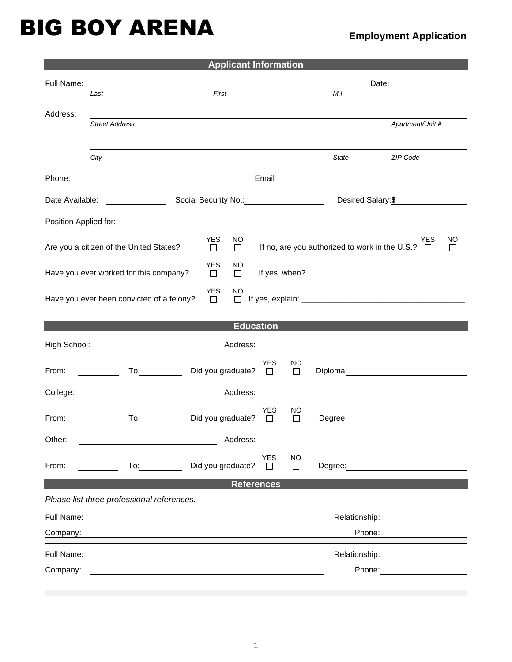## BIG BOY ARENA

## **Employment Application**

| <b>Applicant Information</b>                                                                                                                            |                                                   |                         |            |        |                                 |                                                                                                                                                                                                                                |  |  |                                                                                                                                                                                                                                                                                                                   |
|---------------------------------------------------------------------------------------------------------------------------------------------------------|---------------------------------------------------|-------------------------|------------|--------|---------------------------------|--------------------------------------------------------------------------------------------------------------------------------------------------------------------------------------------------------------------------------|--|--|-------------------------------------------------------------------------------------------------------------------------------------------------------------------------------------------------------------------------------------------------------------------------------------------------------------------|
| Full Name:                                                                                                                                              |                                                   |                         |            |        | Date: <u>__________________</u> |                                                                                                                                                                                                                                |  |  |                                                                                                                                                                                                                                                                                                                   |
|                                                                                                                                                         | First<br>Last                                     |                         |            |        | M.I.                            |                                                                                                                                                                                                                                |  |  |                                                                                                                                                                                                                                                                                                                   |
| Address:                                                                                                                                                |                                                   |                         |            |        |                                 |                                                                                                                                                                                                                                |  |  |                                                                                                                                                                                                                                                                                                                   |
|                                                                                                                                                         | <b>Street Address</b>                             |                         |            |        |                                 | Apartment/Unit #                                                                                                                                                                                                               |  |  |                                                                                                                                                                                                                                                                                                                   |
|                                                                                                                                                         |                                                   |                         |            |        |                                 |                                                                                                                                                                                                                                |  |  |                                                                                                                                                                                                                                                                                                                   |
|                                                                                                                                                         | City                                              |                         |            |        | <b>State</b>                    | ZIP Code                                                                                                                                                                                                                       |  |  |                                                                                                                                                                                                                                                                                                                   |
|                                                                                                                                                         |                                                   |                         |            |        |                                 |                                                                                                                                                                                                                                |  |  |                                                                                                                                                                                                                                                                                                                   |
| Phone:                                                                                                                                                  | <u> 1980 - Johann Barbara, martin amerikan ba</u> |                         |            |        |                                 | Email <u>______________________________</u>                                                                                                                                                                                    |  |  |                                                                                                                                                                                                                                                                                                                   |
|                                                                                                                                                         |                                                   |                         |            |        |                                 | Desired Salary:\$                                                                                                                                                                                                              |  |  |                                                                                                                                                                                                                                                                                                                   |
|                                                                                                                                                         |                                                   |                         |            |        |                                 |                                                                                                                                                                                                                                |  |  |                                                                                                                                                                                                                                                                                                                   |
| <b>YES</b><br>NO.<br>YES<br>NO.<br>If no, are you authorized to work in the U.S.? $\Box$<br>Are you a citizen of the United States?<br>$\Box$<br>$\Box$ |                                                   |                         |            |        |                                 |                                                                                                                                                                                                                                |  |  |                                                                                                                                                                                                                                                                                                                   |
|                                                                                                                                                         |                                                   |                         |            |        |                                 |                                                                                                                                                                                                                                |  |  | <b>YES</b><br>NO.<br>Have you ever worked for this company?<br>If yes, when? If yes are a set of the set of the set of the set of the set of the set of the set of the set of the set of the set of the set of the set of the set of the set of the set of the set of the set of the set of t<br>$\Box$<br>$\Box$ |
| <b>YES</b><br><b>NO</b>                                                                                                                                 |                                                   |                         |            |        |                                 |                                                                                                                                                                                                                                |  |  |                                                                                                                                                                                                                                                                                                                   |
|                                                                                                                                                         | Have you ever been convicted of a felony?         | $\Box$                  | $\Box$     |        |                                 |                                                                                                                                                                                                                                |  |  |                                                                                                                                                                                                                                                                                                                   |
|                                                                                                                                                         |                                                   |                         |            |        |                                 |                                                                                                                                                                                                                                |  |  |                                                                                                                                                                                                                                                                                                                   |
| <b>Education</b>                                                                                                                                        |                                                   |                         |            |        |                                 |                                                                                                                                                                                                                                |  |  |                                                                                                                                                                                                                                                                                                                   |
| High School:                                                                                                                                            |                                                   |                         |            |        |                                 |                                                                                                                                                                                                                                |  |  |                                                                                                                                                                                                                                                                                                                   |
|                                                                                                                                                         |                                                   |                         | <b>YES</b> | NO     |                                 |                                                                                                                                                                                                                                |  |  |                                                                                                                                                                                                                                                                                                                   |
| From:                                                                                                                                                   |                                                   | To: Did you graduate? □ |            | $\Box$ |                                 | Diploma: Diplomatic Contract of the Contract of the Contract of the Contract of the Contract of the Contract of the Contract of the Contract of the Contract of the Contract of the Contract of the Contract of the Contract o |  |  |                                                                                                                                                                                                                                                                                                                   |
|                                                                                                                                                         |                                                   |                         |            |        |                                 |                                                                                                                                                                                                                                |  |  |                                                                                                                                                                                                                                                                                                                   |
|                                                                                                                                                         |                                                   |                         | YES        | NO     |                                 |                                                                                                                                                                                                                                |  |  |                                                                                                                                                                                                                                                                                                                   |
| From:                                                                                                                                                   |                                                   | To: Did you graduate?   | $\Box$     | $\Box$ |                                 |                                                                                                                                                                                                                                |  |  |                                                                                                                                                                                                                                                                                                                   |
| Other:                                                                                                                                                  |                                                   |                         | Address:   |        |                                 |                                                                                                                                                                                                                                |  |  |                                                                                                                                                                                                                                                                                                                   |
|                                                                                                                                                         |                                                   |                         | <b>YES</b> | NO     |                                 |                                                                                                                                                                                                                                |  |  |                                                                                                                                                                                                                                                                                                                   |
| From:                                                                                                                                                   |                                                   | Did you graduate?       | $\Box$     | П      |                                 | Degree: ______________________                                                                                                                                                                                                 |  |  |                                                                                                                                                                                                                                                                                                                   |
| <b>References</b>                                                                                                                                       |                                                   |                         |            |        |                                 |                                                                                                                                                                                                                                |  |  |                                                                                                                                                                                                                                                                                                                   |
| Please list three professional references.                                                                                                              |                                                   |                         |            |        |                                 |                                                                                                                                                                                                                                |  |  |                                                                                                                                                                                                                                                                                                                   |
|                                                                                                                                                         |                                                   |                         |            |        |                                 | Relationship: example and all the set of the set of the set of the set of the set of the set of the set of the                                                                                                                 |  |  |                                                                                                                                                                                                                                                                                                                   |
| Company:                                                                                                                                                |                                                   |                         |            |        |                                 | Phone:                                                                                                                                                                                                                         |  |  |                                                                                                                                                                                                                                                                                                                   |
| Full Name:                                                                                                                                              |                                                   |                         |            |        |                                 | Relationship: example and all the set of the set of the set of the set of the set of the set of the set of the                                                                                                                 |  |  |                                                                                                                                                                                                                                                                                                                   |
|                                                                                                                                                         |                                                   |                         |            |        |                                 | Phone:                                                                                                                                                                                                                         |  |  |                                                                                                                                                                                                                                                                                                                   |
| Company:                                                                                                                                                |                                                   |                         |            |        |                                 |                                                                                                                                                                                                                                |  |  |                                                                                                                                                                                                                                                                                                                   |
|                                                                                                                                                         |                                                   |                         |            |        |                                 |                                                                                                                                                                                                                                |  |  |                                                                                                                                                                                                                                                                                                                   |